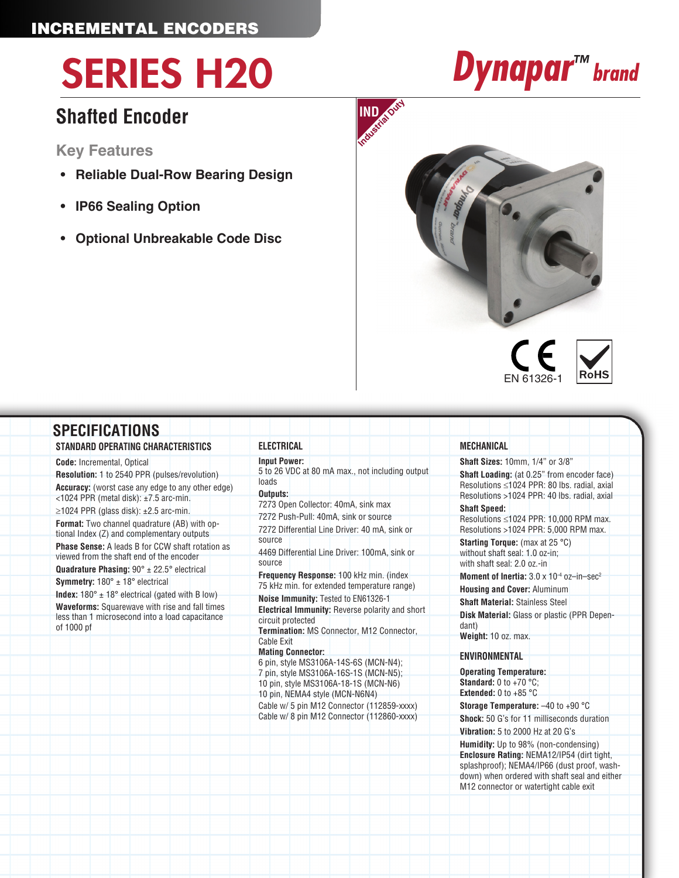# SERIES H20 *Dynapar™ brand*

## **Shafted Encoder**

**Key Features**

- **• Reliable Dual-Row Bearing Design**
- **• IP66 Sealing Option**
- **• Optional Unbreakable Code Disc**





down) when ordered with shaft seal and either M12 connector or watertight cable exit

| STANDARD OPERATING CHARACTERISTICS                                                                                                                                                                                                                                                                                                                                                                                                                                                                                                                                                                                                                                                                                                                                            | <b>ELECTRICAL</b>                                                                                                                                                                                                                                                                                                                                                                                                                                                                                                                                                                                | <b>MECHANICAL</b>                                                                                                                                                                                                                                                                                                                                                                                                                                                                                                                                                                                                                           |
|-------------------------------------------------------------------------------------------------------------------------------------------------------------------------------------------------------------------------------------------------------------------------------------------------------------------------------------------------------------------------------------------------------------------------------------------------------------------------------------------------------------------------------------------------------------------------------------------------------------------------------------------------------------------------------------------------------------------------------------------------------------------------------|--------------------------------------------------------------------------------------------------------------------------------------------------------------------------------------------------------------------------------------------------------------------------------------------------------------------------------------------------------------------------------------------------------------------------------------------------------------------------------------------------------------------------------------------------------------------------------------------------|---------------------------------------------------------------------------------------------------------------------------------------------------------------------------------------------------------------------------------------------------------------------------------------------------------------------------------------------------------------------------------------------------------------------------------------------------------------------------------------------------------------------------------------------------------------------------------------------------------------------------------------------|
| <b>Code:</b> Incremental, Optical<br><b>Resolution: 1 to 2540 PPR (pulses/revolution)</b><br><b>Accuracy:</b> (worst case any edge to any other edge)<br><1024 PPR (metal disk): ±7.5 arc-min.<br>$\geq$ 1024 PPR (glass disk): $\pm$ 2.5 arc-min.<br>Format: Two channel quadrature (AB) with op-<br>tional Index (Z) and complementary outputs<br><b>Phase Sense:</b> A leads B for CCW shaft rotation as<br>viewed from the shaft end of the encoder<br><b>Quadrature Phasing:</b> $90^\circ \pm 22.5^\circ$ electrical<br><b>Symmetry:</b> $180^\circ \pm 18^\circ$ electrical<br>Index: $180^\circ \pm 18^\circ$ electrical (gated with B low)<br><b>Waveforms:</b> Squarewave with rise and fall times<br>less than 1 microsecond into a load capacitance<br>of 1000 pf | <b>Input Power:</b><br>5 to 26 VDC at 80 mA max., not including output<br>loads<br>Outputs:<br>7273 Open Collector: 40mA, sink max<br>7272 Push-Pull: 40mA, sink or source<br>7272 Differential Line Driver: 40 mA, sink or<br>source<br>4469 Differential Line Driver: 100mA, sink or<br>source<br>Frequency Response: 100 kHz min. (index<br>75 kHz min. for extended temperature range)<br>Noise Immunity: Tested to EN61326-1<br>Electrical Immunity: Reverse polarity and short<br>circuit protected<br>Termination: MS Connector, M12 Connector,<br>Cable Exit<br><b>Mating Connector:</b> | Shaft Sizes: 10mm, 1/4" or 3/8"<br>Shaft Loading: (at 0.25" from encoder face)<br>Resolutions ≤1024 PPR: 80 lbs. radial, axial<br>Resolutions >1024 PPR: 40 lbs. radial, axial<br><b>Shaft Speed:</b><br>Resolutions ≤1024 PPR: 10,000 RPM max.<br>Resolutions >1024 PPR: 5,000 RPM max.<br><b>Starting Torque:</b> (max at 25 °C)<br>without shaft seal: 1.0 oz-in;<br>with shaft seal: 2.0 oz.-in<br>Moment of Inertia: $3.0 \times 10^{-4}$ oz-in-sec <sup>2</sup><br><b>Housing and Cover: Aluminum</b><br><b>Shaft Material: Stainless Steel</b><br><b>Disk Material:</b> Glass or plastic (PPR Depen-<br>dant)<br>Weight: 10 oz. max. |
|                                                                                                                                                                                                                                                                                                                                                                                                                                                                                                                                                                                                                                                                                                                                                                               | 6 pin, style MS3106A-14S-6S (MCN-N4);<br>7 pin, style MS3106A-16S-1S (MCN-N5);<br>10 pin, style MS3106A-18-1S (MCN-N6)<br>10 pin, NEMA4 style (MCN-N6N4)<br>Cable w/ 5 pin M12 Connector (112859-xxxx)                                                                                                                                                                                                                                                                                                                                                                                           | <b>ENVIRONMENTAL</b><br><b>Operating Temperature:</b><br><b>Standard:</b> 0 to +70 $^{\circ}$ C:<br><b>Extended: 0 to +85 °C</b><br><b>Storage Temperature:</b> $-40$ to $+90$ °C                                                                                                                                                                                                                                                                                                                                                                                                                                                           |
|                                                                                                                                                                                                                                                                                                                                                                                                                                                                                                                                                                                                                                                                                                                                                                               | Cable w/ 8 pin M12 Connector (112860-xxxx)                                                                                                                                                                                                                                                                                                                                                                                                                                                                                                                                                       | <b>Shock:</b> 50 G's for 11 milliseconds duration<br><b>Vibration: 5 to 2000 Hz at 20 G's</b><br>Humidity: Up to 98% (non-condensing)<br>Enclosure Rating: NEMA12/IP54 (dirt tight,<br>splashproof); NEMA4/IP66 (dust proof, wash-                                                                                                                                                                                                                                                                                                                                                                                                          |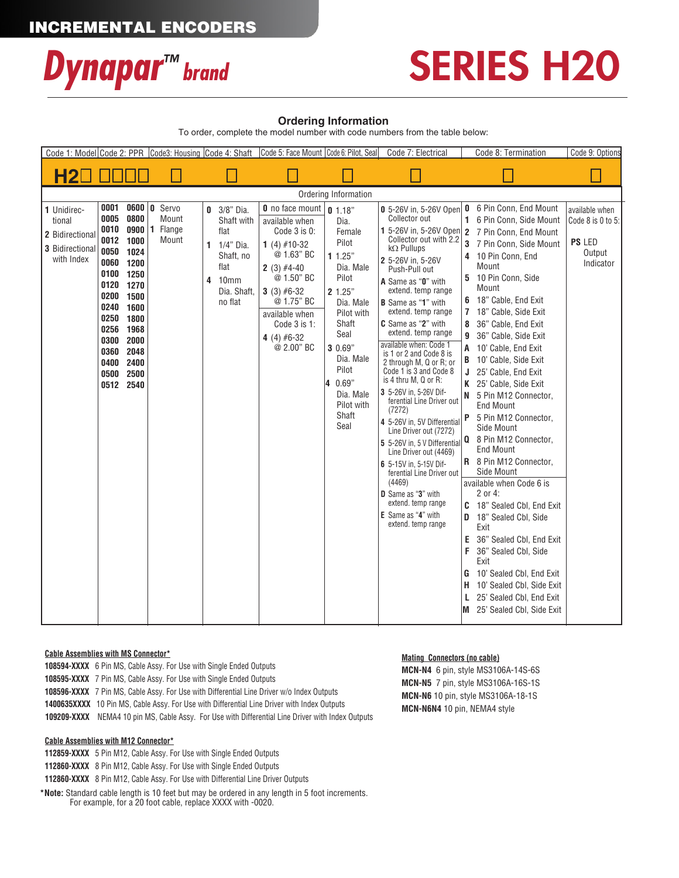## INCREMENTAL ENCODERS



## SERIES H20

### **Ordering Information**

To order, complete the model number with code numbers from the table below:

|                                                                           |                                                                                                                                                                                                       |                                | Code 1: Model Code 2: PPR Code3: Housing Code 4: Shaft |                                                                                                                               | Code 5: Face Mount   Code 6: Pilot, Seal                                                                                                                                                                                |                                                                                                                                                                                                                       | Code 7: Electrical                                                                                                                                                                                                                                                                                                                                                                                                                                                                                                                                                                                                                                                                                                                                                                      | Code 8: Termination                                                                                                                                                                                                                                                                                                                                                                                                                                                                                                                                                                                                                                                                                                                                                                                                                                                                        | Code 9: Options                                                             |
|---------------------------------------------------------------------------|-------------------------------------------------------------------------------------------------------------------------------------------------------------------------------------------------------|--------------------------------|--------------------------------------------------------|-------------------------------------------------------------------------------------------------------------------------------|-------------------------------------------------------------------------------------------------------------------------------------------------------------------------------------------------------------------------|-----------------------------------------------------------------------------------------------------------------------------------------------------------------------------------------------------------------------|-----------------------------------------------------------------------------------------------------------------------------------------------------------------------------------------------------------------------------------------------------------------------------------------------------------------------------------------------------------------------------------------------------------------------------------------------------------------------------------------------------------------------------------------------------------------------------------------------------------------------------------------------------------------------------------------------------------------------------------------------------------------------------------------|--------------------------------------------------------------------------------------------------------------------------------------------------------------------------------------------------------------------------------------------------------------------------------------------------------------------------------------------------------------------------------------------------------------------------------------------------------------------------------------------------------------------------------------------------------------------------------------------------------------------------------------------------------------------------------------------------------------------------------------------------------------------------------------------------------------------------------------------------------------------------------------------|-----------------------------------------------------------------------------|
| <b>H2</b>                                                                 |                                                                                                                                                                                                       |                                |                                                        |                                                                                                                               |                                                                                                                                                                                                                         |                                                                                                                                                                                                                       |                                                                                                                                                                                                                                                                                                                                                                                                                                                                                                                                                                                                                                                                                                                                                                                         |                                                                                                                                                                                                                                                                                                                                                                                                                                                                                                                                                                                                                                                                                                                                                                                                                                                                                            |                                                                             |
|                                                                           |                                                                                                                                                                                                       |                                |                                                        |                                                                                                                               |                                                                                                                                                                                                                         | Ordering Information                                                                                                                                                                                                  |                                                                                                                                                                                                                                                                                                                                                                                                                                                                                                                                                                                                                                                                                                                                                                                         |                                                                                                                                                                                                                                                                                                                                                                                                                                                                                                                                                                                                                                                                                                                                                                                                                                                                                            |                                                                             |
| 1 Unidirec-<br>tional<br>2 Bidirectional<br>3 Bidirectional<br>with Index | 0001<br>0005<br>0010 0900<br>0012 1000<br>0050 1024<br>0060 1200<br>0100 1250<br>0120 1270<br>0200 1500<br>0240 1600<br>0250 1800<br>0256 1968<br>0300<br>0360 2048<br>0400<br>0500 2500<br>0512 2540 | 0600 0<br>0800<br>2000<br>2400 | Servo<br>Mount<br>Flange<br>1<br>Mount                 | $0$ 3/8" Dia.<br>Shaft with<br>flat<br>1/4" Dia.<br>1<br>Shaft, no<br>flat<br>10 <sub>mm</sub><br>4<br>Dia. Shaft,<br>no flat | <b>0</b> no face mount<br>available when<br>Code 3 is 0:<br>1 (4) $#10-32$<br>@ 1.63" BC<br>$2(3)$ #4-40<br>@ 1.50" BC<br>3 (3) $#6-32$<br>@ 1.75" BC<br>available when<br>Code 3 is 1:<br>4 (4) $#6-32$<br>$@2.00"$ BC | 0.1.18"<br>Dia.<br>Female<br>Pilot<br>11.25"<br>Dia. Male<br>Pilot<br>2 1.25"<br>Dia. Male<br>Pilot with<br>Shaft<br>Seal<br>3 0.69"<br>Dia. Male<br>Pilot<br>0.69"<br>Ι4<br>Dia. Male<br>Pilot with<br>Shaft<br>Seal | 0 5-26V in, 5-26V Open<br>Collector out<br>1 5-26V in, 5-26V Open<br>Collector out with 2.2<br>$k\Omega$ Pullups<br>2 5-26V in, 5-26V<br>Push-Pull out<br>A Same as "0" with<br>extend. temp range<br><b>B</b> Same as "1" with<br>extend. temp range<br>C Same as "2" with<br>extend. temp range<br>available when: Code 1<br>is 1 or 2 and Code 8 is<br>2 through M, Q or R; or<br>Code 1 is 3 and Code 8<br>is 4 thru M, Q or R:<br>3 5-26V in, 5-26V Dif-<br>ferential Line Driver out<br>(7272)<br>4 5-26V in, 5V Differential<br>Line Driver out (7272)<br>5 5-26V in, 5 V Differential<br>Line Driver out (4469)<br>6 5-15V in, 5-15V Dif-<br>ferential Line Driver out<br>(4469)<br>D Same as "3" with<br>extend. temp range<br><b>E</b> Same as "4" with<br>extend. temp range | 0 6 Pin Conn, End Mount<br>1 6 Pin Conn, Side Mount<br>2 7 Pin Conn, End Mount<br>3<br>7 Pin Conn, Side Mount<br>4 10 Pin Conn, End<br>Mount<br>5 10 Pin Conn, Side<br>Mount<br>6 18" Cable, End Exit<br>7 18" Cable, Side Exit<br>36" Cable, End Exit<br>8<br>36" Cable, Side Exit<br>9<br>A 10' Cable, End Exit<br><b>B</b> 10' Cable, Side Exit<br>J 25' Cable, End Exit<br>K 25' Cable, Side Exit<br>N 5 Pin M12 Connector,<br><b>End Mount</b><br>P 5 Pin M12 Connector,<br>Side Mount<br>Q 8 Pin M12 Connector,<br><b>End Mount</b><br>R 8 Pin M12 Connector,<br>Side Mount<br>available when Code 6 is<br>2 or 4:<br>C 18" Sealed CbI, End Exit<br>18" Sealed Cbl, Side<br>D<br>Exit<br>E 36" Sealed Cbl, End Exit<br>F.<br>36" Sealed Cbl, Side<br>Exit<br>10' Sealed Cbl, End Exit<br>G<br>H 10' Sealed Cbl, Side Exit<br>25' Sealed Cbl, End Exit<br>M 25' Sealed Cbl, Side Exit | available when<br>Code $8$ is $0$ to $5$ :<br>PS LED<br>Output<br>Indicator |

### **Cable Assemblies with MS Connector\***

**108594-XXXX** 6 Pin MS, Cable Assy. For Use with Single Ended Outputs **108595-XXXX** 7 Pin MS, Cable Assy. For Use with Single Ended Outputs **108596-XXXX** 7 Pin MS, Cable Assy. For Use with Differential Line Driver w/o Index Outputs **1400635XXXX** 10 Pin MS, Cable Assy. For Use with Differential Line Driver with Index Outputs  **109209-XXXX** NEMA4 10 pin MS, Cable Assy. For Use with Differential Line Driver with Index Outputs

### **Cable Assemblies with M12 Connector\***

**112859-XXXX** 5 Pin M12, Cable Assy. For Use with Single Ended Outputs

**112860-XXXX** 8 Pin M12, Cable Assy. For Use with Single Ended Outputs

**112860-XXXX** 8 Pin M12, Cable Assy. For Use with Differential Line Driver Outputs

**\*Note:** Standard cable length is 10 feet but may be ordered in any length in 5 foot increments. For example, for a 20 foot cable, replace XXXX with -0020.

### **Mating Connectors (no cable)**

**MCN-N4** 6 pin, style MS3106A-14S-6S **MCN-N5** 7 pin, style MS3106A-16S-1S **MCN-N6** 10 pin, style MS3106A-18-1S **MCN-N6N4** 10 pin, NEMA4 style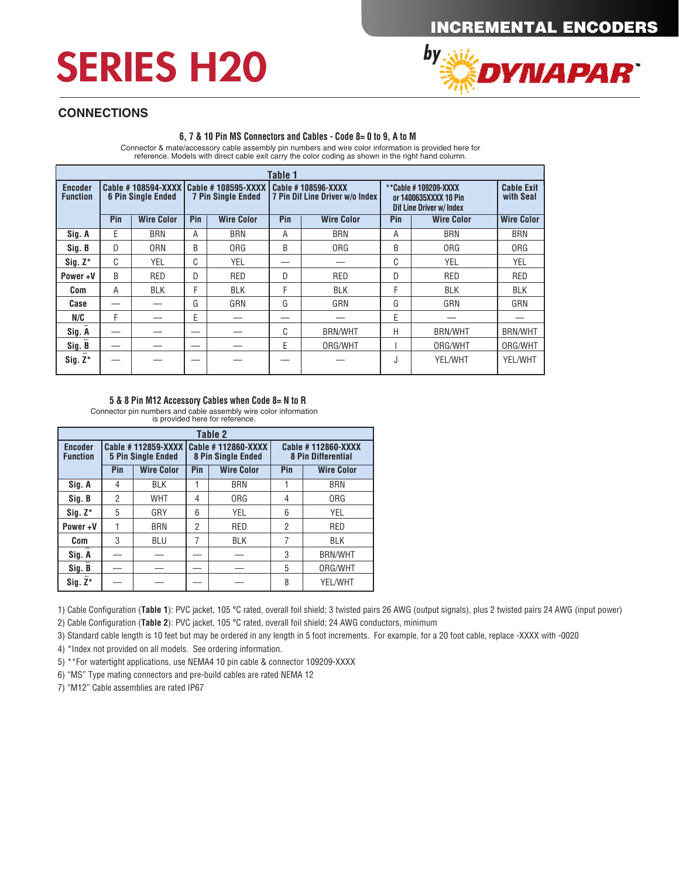## INCREMENTAL ENCODERS

## SERIES H20



## **CONNECTIONS**

### **6, 7 & 10 Pin MS Connectors and Cables - Code 8= 0 to 9, A to M**

Connector & mate/accessory cable assembly pin numbers and wire color information is provided here for reference. Models with direct cable exit carry the color coding as shown in the right hand column.

| Table 1                           |                           |                   |                                                                      |                   |     |                                                       |                                                                                  |                                |                   |
|-----------------------------------|---------------------------|-------------------|----------------------------------------------------------------------|-------------------|-----|-------------------------------------------------------|----------------------------------------------------------------------------------|--------------------------------|-------------------|
| <b>Encoder</b><br><b>Function</b> | <b>6 Pin Single Ended</b> |                   | Cable #108594-XXXX   Cable #108595-XXXX<br><b>7 Pin Single Ended</b> |                   |     | Cable #108596-XXXX<br>7 Pin Dif Line Driver w/o Index | **Cable #109209-XXXX<br>or 1400635XXXX 10 Pin<br><b>Dif Line Driver w/ Index</b> | <b>Cable Exit</b><br>with Seal |                   |
|                                   | Pin                       | <b>Wire Color</b> | Pin                                                                  | <b>Wire Color</b> | Pin | <b>Wire Color</b>                                     | Pin                                                                              | <b>Wire Color</b>              | <b>Wire Color</b> |
| Sig. A                            | E                         | BRN               | A                                                                    | <b>BRN</b>        | A   | <b>BRN</b>                                            | A                                                                                | <b>BRN</b>                     | <b>BRN</b>        |
| Sig. B                            | D                         | <b>ORN</b>        | B                                                                    | <b>ORG</b>        | B   | <b>ORG</b>                                            | B                                                                                | <b>ORG</b>                     | <b>ORG</b>        |
| $Siq. Z^*$                        | C                         | <b>YEL</b>        | C                                                                    | YEL               |     |                                                       | C                                                                                | YEL                            | YEL               |
| Power+V                           | B                         | <b>RED</b>        | D                                                                    | <b>RED</b>        | D   | <b>RED</b>                                            | D                                                                                | <b>RED</b>                     | RED               |
| Com                               | A                         | <b>BLK</b>        | F                                                                    | <b>BLK</b>        | F   | <b>BLK</b>                                            | F                                                                                | <b>BLK</b>                     | <b>BLK</b>        |
| Case                              |                           |                   | G                                                                    | GRN               | G   | GRN                                                   | G                                                                                | GRN                            | GRN               |
| N/C                               | F                         |                   | E                                                                    |                   |     |                                                       | E                                                                                |                                |                   |
| Sig. A                            |                           |                   |                                                                      |                   | C   | <b>BRN/WHT</b>                                        | Н                                                                                | <b>BRN/WHT</b>                 | <b>BRN/WHT</b>    |
| Sig. B                            |                           |                   |                                                                      |                   | F   | ORG/WHT                                               |                                                                                  | ORG/WHT                        | ORG/WHT           |
| $Sig. Z^*$                        |                           |                   |                                                                      |                   |     |                                                       | J                                                                                | YEL/WHT                        | YEL/WHT           |

#### **5 & 8 Pin M12 Accessory Cables when Code 8= N to R**

Connector pin numbers and cable assembly wire color information is provided here for reference.

| Table 2                           |                                            |                                                 |                          |                                                 |                                                 |                   |  |  |  |
|-----------------------------------|--------------------------------------------|-------------------------------------------------|--------------------------|-------------------------------------------------|-------------------------------------------------|-------------------|--|--|--|
| <b>Encoder</b><br><b>Function</b> |                                            | Cable #112859-XXXX<br><b>5 Pin Single Ended</b> |                          | Cable #112860-XXXX<br><b>8 Pin Single Ended</b> | Cable #112860-XXXX<br><b>8 Pin Differential</b> |                   |  |  |  |
|                                   | Pin                                        | <b>Wire Color</b>                               | <b>Wire Color</b><br>Pin |                                                 | Pin                                             | <b>Wire Color</b> |  |  |  |
| Sig. A                            | 4                                          | <b>BLK</b>                                      |                          | <b>BRN</b>                                      |                                                 | <b>BRN</b>        |  |  |  |
| Sig. B                            | 2                                          | <b>WHT</b>                                      | 4                        | 0 <sub>RG</sub>                                 | 4                                               | <b>ORG</b>        |  |  |  |
| $Siq. Z^*$                        | 5                                          | 6<br>GRY<br>YEL                                 |                          |                                                 | 6                                               | <b>YEL</b>        |  |  |  |
| Power+V                           | $\overline{2}$<br><b>RED</b><br><b>BRN</b> |                                                 |                          | $\overline{2}$                                  | <b>RED</b>                                      |                   |  |  |  |
| <b>Com</b>                        | 3                                          | <b>BLU</b>                                      | 7                        | <b>BLK</b>                                      | 7                                               | <b>BLK</b>        |  |  |  |
| Sig. A                            |                                            |                                                 |                          | 3                                               | <b>BRN/WHT</b>                                  |                   |  |  |  |
| Sig. B                            |                                            |                                                 |                          |                                                 | 5                                               | ORG/WHT           |  |  |  |
| $Sig. Z^*$                        |                                            |                                                 |                          |                                                 |                                                 | YEL/WHT           |  |  |  |

1) Cable Configuration (**Table 1**): PVC jacket, 105 °C rated, overall foil shield; 3 twisted pairs 26 AWG (output signals), plus 2 twisted pairs 24 AWG (input power)

2) Cable Configuration (**Table 2**): PVC jacket, 105 °C rated, overall foil shield; 24 AWG conductors, minimum

3) Standard cable length is 10 feet but may be ordered in any length in 5 foot increments. For example, for a 20 foot cable, replace -XXXX with -0020

4) \*Index not provided on all models. See ordering information.

5) \*\*For watertight applications, use NEMA4 10 pin cable & connector 109209-XXXX

6) "MS" Type mating connectors and pre-build cables are rated NEMA 12

7) "M12" Cable assemblies are rated IP67